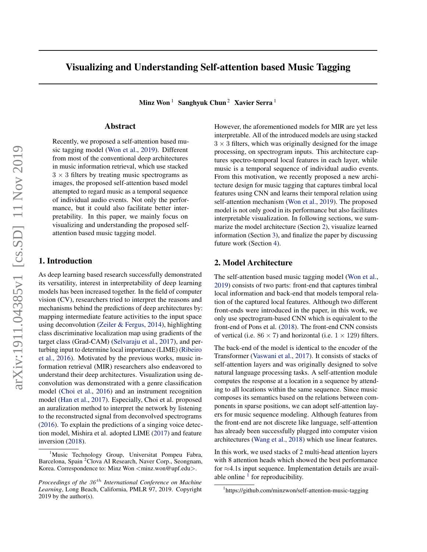# Visualizing and Understanding Self-attention based Music Tagging

Minz Won<sup>1</sup> Sanghyuk Chun<sup>2</sup> Xavier Serra<sup>1</sup>

## Abstract

Recently, we proposed a self-attention based music tagging model [\(Won et al.,](#page-2-0) [2019\)](#page-2-0). Different from most of the conventional deep architectures in music information retrieval, which use stacked  $3 \times 3$  filters by treating music spectrograms as images, the proposed self-attention based model attempted to regard music as a temporal sequence of individual audio events. Not only the performance, but it could also facilitate better interpretability. In this paper, we mainly focus on visualizing and understanding the proposed selfattention based music tagging model.

#### 1. Introduction

As deep learning based research successfully demonstrated its versatility, interest in interpretability of deep learning models has been increased together. In the field of computer vision (CV), researchers tried to interpret the reasons and mechanisms behind the predictions of deep architectures by: mapping intermediate feature activities to the input space using deconvolution [\(Zeiler & Fergus,](#page-2-0) [2014\)](#page-2-0), highlighting class discriminative localization map using gradients of the target class (Grad-CAM) [\(Selvaraju et al.,](#page-2-0) [2017\)](#page-2-0), and perturbing input to determine local importance (LIME) [\(Ribeiro](#page-2-0) [et al.,](#page-2-0) [2016\)](#page-2-0). Motivated by the previous works, music information retrieval (MIR) researchers also endeavored to understand their deep architectures. Visualization using deconvolution was demonstrated with a genre classification model [\(Choi et al.,](#page-2-0) [2016\)](#page-2-0) and an instrument recognition model [\(Han et al.,](#page-2-0) [2017\)](#page-2-0). Especially, Choi et al. proposed an auralization method to interpret the network by listening to the reconstructed signal from deconvolved spectrograms [\(2016\)](#page-2-0). To explain the predictions of a singing voice detection model, Mishira et al. adopted LIME [\(2017\)](#page-2-0) and feature inversion [\(2018\)](#page-2-0).

However, the aforementioned models for MIR are yet less interpretable. All of the introduced models are using stacked  $3 \times 3$  filters, which was originally designed for the image processing, on spectrogram inputs. This architecture captures spectro-temporal local features in each layer, while music is a temporal sequence of individual audio events. From this motivation, we recently proposed a new architecture design for music tagging that captures timbral local features using CNN and learns their temporal relation using self-attention mechanism [\(Won et al.,](#page-2-0) [2019\)](#page-2-0). The proposed model is not only good in its performance but also facilitates interpretable visualization. In following sections, we summarize the model architecture (Section 2), visualize learned information (Section [3\)](#page-1-0), and finalize the paper by discussing future work (Section [4\)](#page-1-0).

#### 2. Model Architecture

The self-attention based music tagging model [\(Won et al.,](#page-2-0) [2019\)](#page-2-0) consists of two parts: front-end that captures timbral local information and back-end that models temporal relation of the captured local features. Although two different front-ends were introduced in the paper, in this work, we only use spectrogram-based CNN which is equivalent to the front-end of Pons et al. [\(2018\)](#page-2-0). The front-end CNN consists of vertical (i.e.  $86 \times 7$ ) and horizontal (i.e.  $1 \times 129$ ) filters.

The back-end of the model is identical to the encoder of the Transformer [\(Vaswani et al.,](#page-2-0) [2017\)](#page-2-0). It consists of stacks of self-attention layers and was originally designed to solve natural language processing tasks. A self-attention module computes the response at a location in a sequence by attending to all locations within the same sequence. Since music composes its semantics based on the relations between components in sparse positions, we can adopt self-attention layers for music sequence modeling. Although features from the front-end are not discrete like language, self-attention has already been successfully plugged into computer vision architectures [\(Wang et al.,](#page-2-0) [2018\)](#page-2-0) which use linear features.

In this work, we used stacks of 2 multi-head attention layers with 8 attention heads which showed the best performance for ≈4.1s input sequence. Implementation details are available online  $<sup>1</sup>$  for reproducibility.</sup>

<sup>&</sup>lt;sup>1</sup>Music Technology Group, Universitat Pompeu Fabra, Barcelona, Spain <sup>2</sup>Clova AI Research, Naver Corp., Seongnam, Korea. Correspondence to: Minz Won <minz.won@upf.edu>.

*Proceedings of the*  $36<sup>th</sup>$  *International Conference on Machine Learning*, Long Beach, California, PMLR 97, 2019. Copyright  $2019$  by the author(s).

<sup>1</sup> https://github.com/minzwon/self-attention-music-tagging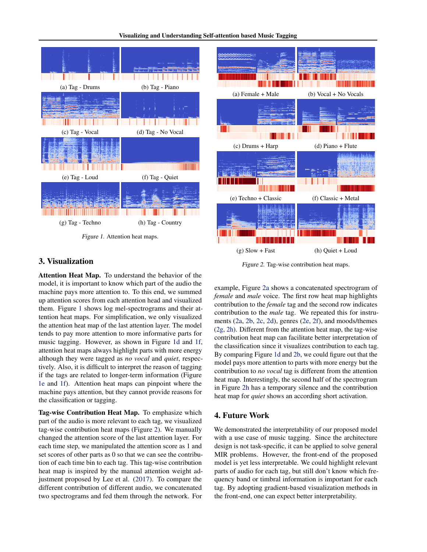<span id="page-1-0"></span>



# 3. Visualization

Attention Heat Map. To understand the behavior of the model, it is important to know which part of the audio the machine pays more attention to. To this end, we summed up attention scores from each attention head and visualized them. Figure 1 shows log mel-spectrograms and their attention heat maps. For simplification, we only visualized the attention heat map of the last attention layer. The model tends to pay more attention to more informative parts for music tagging. However, as shown in Figure 1d and 1f, attention heat maps always highlight parts with more energy although they were tagged as *no vocal* and *quiet*, respectively. Also, it is difficult to interpret the reason of tagging if the tags are related to longer-term information (Figure 1e and 1f). Attention heat maps can pinpoint where the machine pays attention, but they cannot provide reasons for the classification or tagging.

Tag-wise Contribution Heat Map. To emphasize which part of the audio is more relevant to each tag, we visualized tag-wise contribution heat maps (Figure 2). We manually changed the attention score of the last attention layer. For each time step, we manipulated the attention score as 1 and set scores of other parts as 0 so that we can see the contribution of each time bin to each tag. This tag-wise contribution heat map is inspired by the manual attention weight adjustment proposed by Lee et al. [\(2017\)](#page-2-0). To compare the different contribution of different audio, we concatenated two spectrograms and fed them through the network. For

Figure 2. Tag-wise contribution heat maps.

example, Figure 2a shows a concatenated spectrogram of *female* and *male* voice. The first row heat map highlights contribution to the *female* tag and the second row indicates contribution to the *male* tag. We repeated this for instruments (2a, 2b, 2c, 2d), genres (2e, 2f), and moods/themes (2g, 2h). Different from the attention heat map, the tag-wise contribution heat map can facilitate better interpretation of the classification since it visualizes contribution to each tag. By comparing Figure 1d and 2b, we could figure out that the model pays more attention to parts with more energy but the contribution to *no vocal* tag is different from the attention heat map. Interestingly, the second half of the spectrogram in Figure 2h has a temporary silence and the contribution heat map for *quiet* shows an according short activation.

# 4. Future Work

We demonstrated the interpretability of our proposed model with a use case of music tagging. Since the architecture design is not task-specific, it can be applied to solve general MIR problems. However, the front-end of the proposed model is yet less interpretable. We could highlight relevant parts of audio for each tag, but still don't know which frequency band or timbral information is important for each tag. By adopting gradient-based visualization methods in the front-end, one can expect better interpretability.